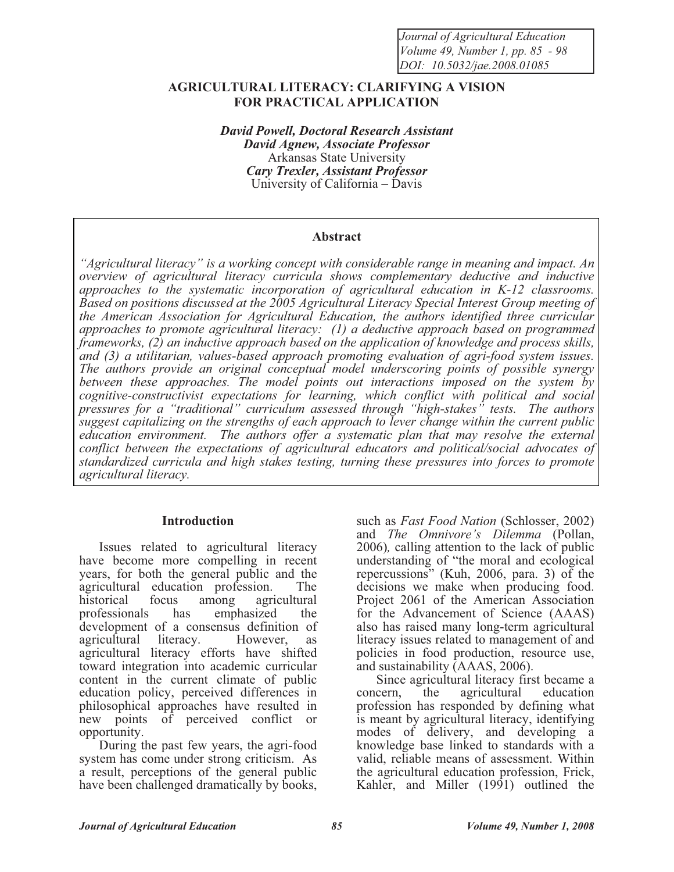*Journal of Agricultural Education Volume 49, Number 1, pp. 85 - 98 DOI: 10.5032/jae.2008.01085*

## **AGRICULTURAL LITERACY: CLARIFYING A VISION FOR PRACTICAL APPLICATION**

*David Powell, Doctoral Research Assistant David Agnew, Associate Professor*  Arkansas State University *Cary Trexler, Assistant Professor*  University of California – Davis

#### **Abstract**

*"Agricultural literacy" is a working concept with considerable range in meaning and impact. An overview of agricultural literacy curricula shows complementary deductive and inductive approaches to the systematic incorporation of agricultural education in K-12 classrooms. Based on positions discussed at the 2005 Agricultural Literacy Special Interest Group meeting of the American Association for Agricultural Education, the authors identified three curricular approaches to promote agricultural literacy: (1) a deductive approach based on programmed frameworks, (2) an inductive approach based on the application of knowledge and process skills, and (3) a utilitarian, values-based approach promoting evaluation of agri-food system issues. The authors provide an original conceptual model underscoring points of possible synergy between these approaches. The model points out interactions imposed on the system by cognitive-constructivist expectations for learning, which conflict with political and social pressures for a "traditional" curriculum assessed through "high-stakes" tests. The authors suggest capitalizing on the strengths of each approach to lever change within the current public education environment. The authors offer a systematic plan that may resolve the external conflict between the expectations of agricultural educators and political/social advocates of standardized curricula and high stakes testing, turning these pressures into forces to promote agricultural literacy.* 

#### **Introduction**

Issues related to agricultural literacy have become more compelling in recent years, for both the general public and the agricultural education profession. The<br>historical focus among agricultural historical focus among agricultural professionals has emphasized the development of a consensus definition of agricultural literacy. However, as agricultural literacy efforts have shifted toward integration into academic curricular content in the current climate of public education policy, perceived differences in philosophical approaches have resulted in new points of perceived conflict or opportunity.

During the past few years, the agri-food system has come under strong criticism. As a result, perceptions of the general public have been challenged dramatically by books,

such as *Fast Food Nation* (Schlosser, 2002) and *The Omnivore's Dilemma* (Pollan, 2006)*,* calling attention to the lack of public understanding of "the moral and ecological repercussions" (Kuh, 2006, para. 3) of the decisions we make when producing food. Project 2061 of the American Association for the Advancement of Science (AAAS) also has raised many long-term agricultural literacy issues related to management of and policies in food production, resource use, and sustainability (AAAS, 2006).

Since agricultural literacy first became a concern, the agricultural education profession has responded by defining what is meant by agricultural literacy, identifying modes of delivery, and developing a knowledge base linked to standards with a valid, reliable means of assessment. Within the agricultural education profession, Frick, Kahler, and Miller (1991) outlined the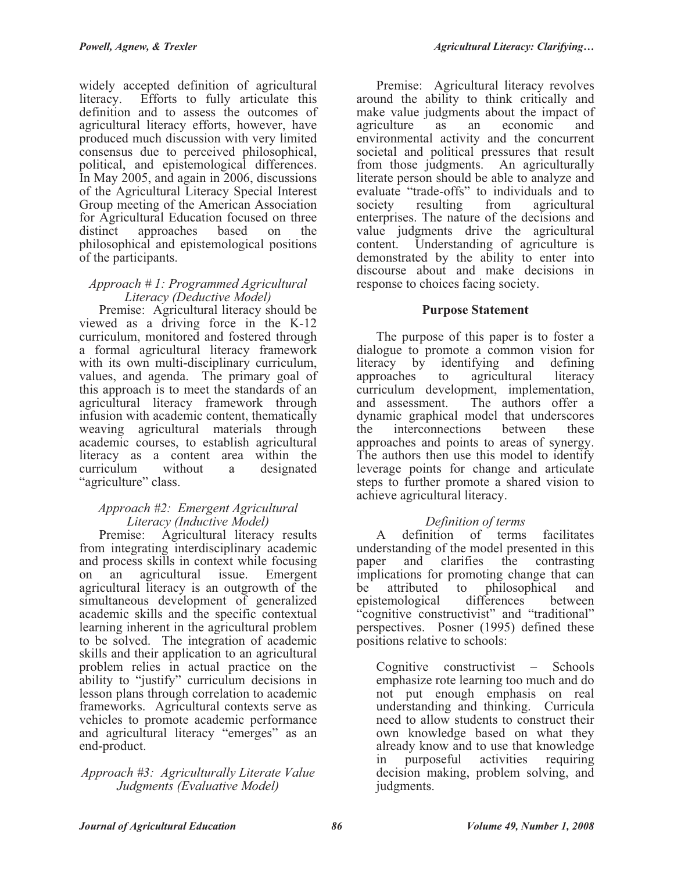of the participants.

widely accepted definition of agricultural literacy. Efforts to fully articulate this definition and to assess the outcomes of agricultural literacy efforts, however, have produced much discussion with very limited consensus due to perceived philosophical, political, and epistemological differences. In May 2005, and again in 2006, discussions of the Agricultural Literacy Special Interest Group meeting of the American Association for Agricultural Education focused on three<br>distinct approaches based on the distinct approaches based on the

#### *Approach # 1: Programmed Agricultural Literacy (Deductive Model)*

philosophical and epistemological positions

Premise: Agricultural literacy should be viewed as a driving force in the K-12 curriculum, monitored and fostered through a formal agricultural literacy framework with its own multi-disciplinary curriculum, values, and agenda. The primary goal of this approach is to meet the standards of an agricultural literacy framework through infusion with academic content, thematically weaving agricultural materials through academic courses, to establish agricultural literacy as a content area within the curriculum without a designated "agriculture" class.

## *Approach #2: Emergent Agricultural Literacy (Inductive Model)*

Premise: Agricultural literacy results from integrating interdisciplinary academic and process skills in context while focusing on an agricultural issue. Emergent agricultural literacy is an outgrowth of the simultaneous development of generalized academic skills and the specific contextual learning inherent in the agricultural problem to be solved. The integration of academic skills and their application to an agricultural problem relies in actual practice on the ability to "justify" curriculum decisions in lesson plans through correlation to academic frameworks. Agricultural contexts serve as vehicles to promote academic performance and agricultural literacy "emerges" as an end-product.

## *Approach #3: Agriculturally Literate Value Judgments (Evaluative Model)*

Premise: Agricultural literacy revolves around the ability to think critically and make value judgments about the impact of agriculture as an economic and environmental activity and the concurrent societal and political pressures that result from those judgments. An agriculturally literate person should be able to analyze and evaluate "trade-offs" to individuals and to society resulting from agricultural enterprises. The nature of the decisions and value judgments drive the agricultural content. Understanding of agriculture is demonstrated by the ability to enter into discourse about and make decisions in response to choices facing society.

# **Purpose Statement**

The purpose of this paper is to foster a dialogue to promote a common vision for literacy by identifying and defining<br>approaches to agricultural literacy to agricultural literacy curriculum development, implementation, and assessment. The authors offer a dynamic graphical model that underscores<br>the interconnections between these the interconnections between these approaches and points to areas of synergy. The authors then use this model to identify leverage points for change and articulate steps to further promote a shared vision to achieve agricultural literacy.

# *Definition of terms*

A definition of terms facilitates understanding of the model presented in this paper and clarifies the contrasting implications for promoting change that can be attributed to philosophical and epistemological differences between "cognitive constructivist" and "traditional" perspectives. Posner (1995) defined these positions relative to schools:

Cognitive constructivist – Schools emphasize rote learning too much and do not put enough emphasis on real understanding and thinking. Curricula need to allow students to construct their own knowledge based on what they already know and to use that knowledge in purposeful activities requiring decision making, problem solving, and judgments.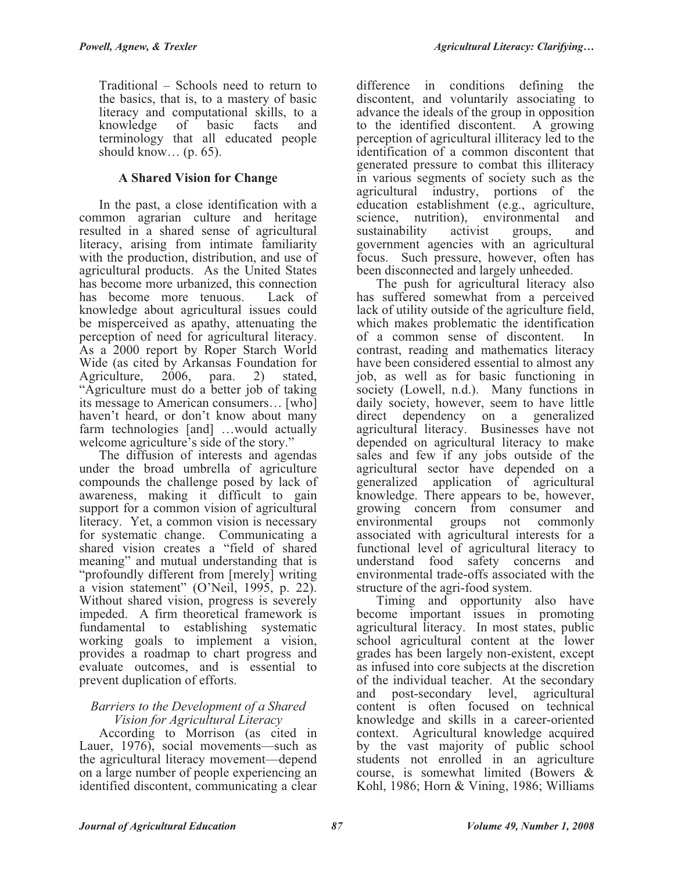Traditional – Schools need to return to the basics, that is, to a mastery of basic literacy and computational skills, to a knowledge of basic facts and terminology that all educated people should know...  $(p. 65)$ .

# **A Shared Vision for Change**

In the past, a close identification with a common agrarian culture and heritage resulted in a shared sense of agricultural literacy, arising from intimate familiarity with the production, distribution, and use of agricultural products. As the United States has become more urbanized, this connection has become more tenuous. Lack of knowledge about agricultural issues could be misperceived as apathy, attenuating the perception of need for agricultural literacy. As a 2000 report by Roper Starch World Wide (as cited by Arkansas Foundation for Agriculture, 2006, para. 2) stated, Agriculture, 2006, para. 2) stated, "Agriculture must do a better job of taking its message to American consumers… [who] haven't heard, or don't know about many farm technologies [and] …would actually welcome agriculture's side of the story."

The diffusion of interests and agendas under the broad umbrella of agriculture compounds the challenge posed by lack of awareness, making it difficult to gain support for a common vision of agricultural literacy. Yet, a common vision is necessary for systematic change. Communicating a shared vision creates a "field of shared meaning" and mutual understanding that is "profoundly different from [merely] writing a vision statement" (O'Neil, 1995, p. 22). Without shared vision, progress is severely impeded. A firm theoretical framework is fundamental to establishing systematic working goals to implement a vision, provides a roadmap to chart progress and evaluate outcomes, and is essential to prevent duplication of efforts.

#### *Barriers to the Development of a Shared Vision for Agricultural Literacy*

According to Morrison (as cited in Lauer, 1976), social movements—such as the agricultural literacy movement—depend on a large number of people experiencing an identified discontent, communicating a clear

difference in conditions defining the discontent, and voluntarily associating to advance the ideals of the group in opposition to the identified discontent. A growing perception of agricultural illiteracy led to the identification of a common discontent that generated pressure to combat this illiteracy in various segments of society such as the agricultural industry, portions of the education establishment (e.g., agriculture, science, nutrition), environmental and sustainability activist groups, and government agencies with an agricultural focus. Such pressure, however, often has been disconnected and largely unheeded.

The push for agricultural literacy also has suffered somewhat from a perceived lack of utility outside of the agriculture field, which makes problematic the identification of a common sense of discontent. In contrast, reading and mathematics literacy have been considered essential to almost any job, as well as for basic functioning in society (Lowell, n.d.). Many functions in daily society, however, seem to have little direct dependency on a generalized agricultural literacy. Businesses have not depended on agricultural literacy to make sales and few if any jobs outside of the agricultural sector have depended on a generalized application of agricultural knowledge. There appears to be, however, growing concern from consumer and<br>environmental groups not commonly groups not commonly associated with agricultural interests for a functional level of agricultural literacy to understand food safety concerns and environmental trade-offs associated with the structure of the agri-food system.

Timing and opportunity also have become important issues in promoting agricultural literacy. In most states, public school agricultural content at the lower grades has been largely non-existent, except as infused into core subjects at the discretion of the individual teacher. At the secondary and post-secondary level, agricultural content is often focused on technical knowledge and skills in a career-oriented context. Agricultural knowledge acquired by the vast majority of public school students not enrolled in an agriculture course, is somewhat limited (Bowers & Kohl, 1986; Horn & Vining, 1986; Williams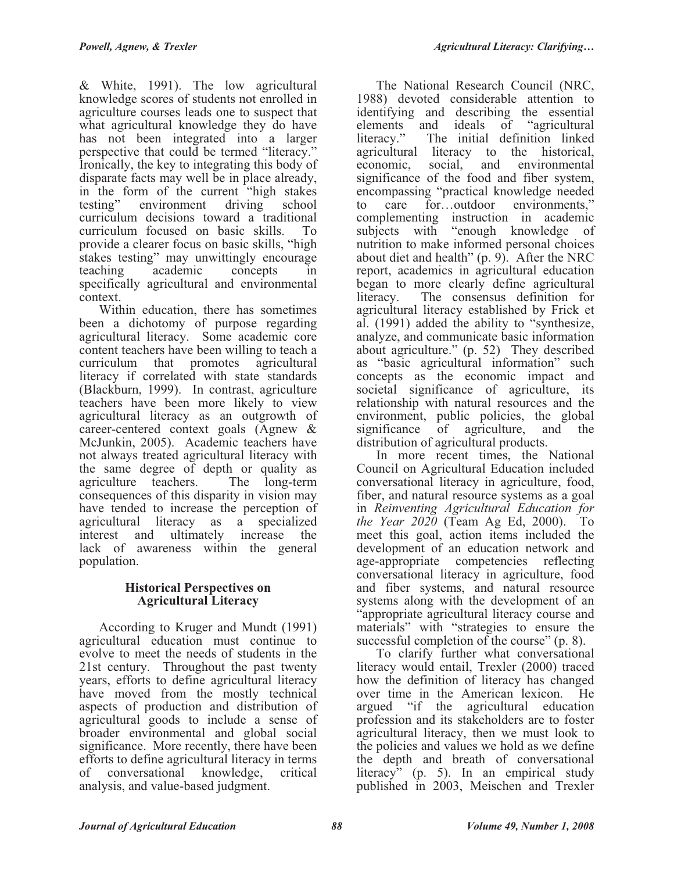& White, 1991). The low agricultural knowledge scores of students not enrolled in agriculture courses leads one to suspect that what agricultural knowledge they do have has not been integrated into a larger perspective that could be termed "literacy." Ironically, the key to integrating this body of disparate facts may well be in place already, in the form of the current "high stakes testing" environment driving school testing" environment driving school curriculum decisions toward a traditional curriculum focused on basic skills. To provide a clearer focus on basic skills, "high stakes testing" may unwittingly encourage teaching academic concepts in specifically agricultural and environmental context.

Within education, there has sometimes been a dichotomy of purpose regarding agricultural literacy. Some academic core content teachers have been willing to teach a curriculum that promotes agricultural literacy if correlated with state standards (Blackburn, 1999). In contrast, agriculture teachers have been more likely to view agricultural literacy as an outgrowth of career-centered context goals (Agnew & McJunkin, 2005). Academic teachers have not always treated agricultural literacy with the same degree of depth or quality as agriculture teachers. The long-term consequences of this disparity in vision may have tended to increase the perception of agricultural literacy as a specialized interest and ultimately increase the lack of awareness within the general population.

## **Historical Perspectives on Agricultural Literacy**

According to Kruger and Mundt (1991) agricultural education must continue to evolve to meet the needs of students in the 21st century. Throughout the past twenty years, efforts to define agricultural literacy have moved from the mostly technical aspects of production and distribution of agricultural goods to include a sense of broader environmental and global social significance. More recently, there have been efforts to define agricultural literacy in terms<br>of conversational knowledge, critical of conversational knowledge, critical analysis, and value-based judgment.

The National Research Council (NRC, 1988) devoted considerable attention to identifying and describing the essential elements and ideals of "agricultural literacy." The initial definition linked The initial definition linked agricultural literacy to the historical, economic, social, and environmental significance of the food and fiber system, encompassing "practical knowledge needed<br>to care for...outdoor environments," to care for…outdoor environments," complementing instruction in academic subjects with "enough knowledge of nutrition to make informed personal choices about diet and health" (p. 9). After the NRC report, academics in agricultural education began to more clearly define agricultural literacy. The consensus definition for agricultural literacy established by Frick et al. (1991) added the ability to "synthesize, analyze, and communicate basic information about agriculture." (p. 52) They described as "basic agricultural information" such concepts as the economic impact and societal significance of agriculture, its relationship with natural resources and the environment, public policies, the global significance of agriculture, and the distribution of agricultural products.

In more recent times, the National Council on Agricultural Education included conversational literacy in agriculture, food, fiber, and natural resource systems as a goal in *Reinventing Agricultural Education for the Year 2020* (Team Ag Ed, 2000). To meet this goal, action items included the development of an education network and age-appropriate competencies reflecting conversational literacy in agriculture, food and fiber systems, and natural resource systems along with the development of an "appropriate agricultural literacy course and materials" with "strategies to ensure the successful completion of the course" (p. 8).

To clarify further what conversational literacy would entail, Trexler (2000) traced how the definition of literacy has changed over time in the American lexicon. He argued "if the agricultural education profession and its stakeholders are to foster agricultural literacy, then we must look to the policies and values we hold as we define the depth and breath of conversational literacy<sup> $\bar{y}$ </sup> (p. 5). In an empirical study published in 2003, Meischen and Trexler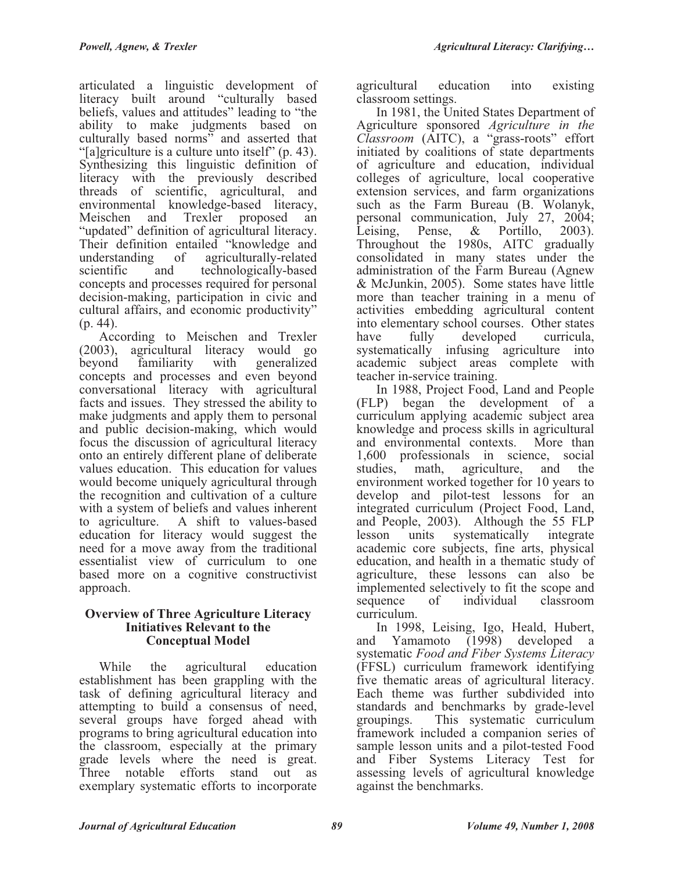articulated a linguistic development of literacy built around "culturally based beliefs, values and attitudes" leading to "the ability to make judgments based on culturally based norms" and asserted that "[a]griculture is a culture unto itself" (p. 43). Synthesizing this linguistic definition of literacy with the previously described threads of scientific, agricultural, and environmental knowledge-based literacy, Meischen and Trexler proposed an "updated" definition of agricultural literacy. Their definition entailed "knowledge and understanding of agriculturally-related scientific and technologically-based concepts and processes required for personal decision-making, participation in civic and cultural affairs, and economic productivity"  $(p. 44)$ .

According to Meischen and Trexler (2003), agricultural literacy would go beyond familiarity with generalized concepts and processes and even beyond conversational literacy with agricultural facts and issues. They stressed the ability to make judgments and apply them to personal and public decision-making, which would focus the discussion of agricultural literacy onto an entirely different plane of deliberate values education. This education for values would become uniquely agricultural through the recognition and cultivation of a culture with a system of beliefs and values inherent to agriculture. A shift to values-based education for literacy would suggest the need for a move away from the traditional essentialist view of curriculum to one based more on a cognitive constructivist approach.

#### **Overview of Three Agriculture Literacy Initiatives Relevant to the Conceptual Model**

While the agricultural education establishment has been grappling with the task of defining agricultural literacy and attempting to build a consensus of need, several groups have forged ahead with programs to bring agricultural education into the classroom, especially at the primary grade levels where the need is great. Three notable efforts stand out as exemplary systematic efforts to incorporate

agricultural education into existing classroom settings.

In 1981, the United States Department of Agriculture sponsored *Agriculture in the Classroom* (AITC), a "grass-roots" effort initiated by coalitions of state departments of agriculture and education, individual colleges of agriculture, local cooperative extension services, and farm organizations such as the Farm Bureau (B. Wolanyk, personal communication, July 27, 2004; Leising, Pense, & Portillo, 2003). Throughout the 1980s, AITC gradually consolidated in many states under the administration of the Farm Bureau (Agnew & McJunkin, 2005). Some states have little more than teacher training in a menu of activities embedding agricultural content into elementary school courses. Other states have fully developed curricula, systematically infusing agriculture into academic subject areas complete with teacher in-service training.

In 1988, Project Food, Land and People (FLP) began the development of a curriculum applying academic subject area knowledge and process skills in agricultural and environmental contexts. 1,600 professionals in science, social studies, math, agriculture, and the environment worked together for 10 years to develop and pilot-test lessons for an integrated curriculum (Project Food, Land, and People, 2003). Although the 55 FLP<br>lesson units systematically integrate lesson units systematically academic core subjects, fine arts, physical education, and health in a thematic study of agriculture, these lessons can also be implemented selectively to fit the scope and sequence of individual classroom curriculum.

In 1998, Leising, Igo, Heald, Hubert, and Yamamoto (1998) developed a systematic *Food and Fiber Systems Literacy* (FFSL) curriculum framework identifying five thematic areas of agricultural literacy. Each theme was further subdivided into standards and benchmarks by grade-level groupings. This systematic curriculum framework included a companion series of sample lesson units and a pilot-tested Food and Fiber Systems Literacy Test for assessing levels of agricultural knowledge against the benchmarks.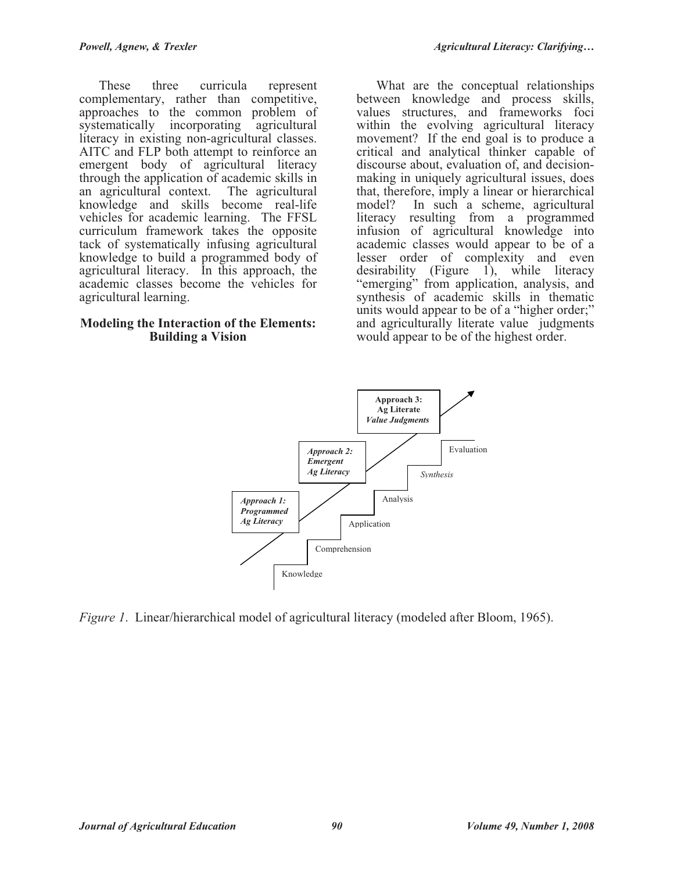These three curricula represent complementary, rather than competitive, approaches to the common problem of systematically incorporating agricultural literacy in existing non-agricultural classes. AITC and FLP both attempt to reinforce an emergent body of agricultural literacy through the application of academic skills in an agricultural context. The agricultural knowledge and skills become real-life vehicles for academic learning. The FFSL curriculum framework takes the opposite tack of systematically infusing agricultural knowledge to build a programmed body of agricultural literacy. In this approach, the academic classes become the vehicles for agricultural learning.

### **Modeling the Interaction of the Elements: Building a Vision**

What are the conceptual relationships between knowledge and process skills, values structures, and frameworks foci within the evolving agricultural literacy movement? If the end goal is to produce a critical and analytical thinker capable of discourse about, evaluation of, and decisionmaking in uniquely agricultural issues, does that, therefore, imply a linear or hierarchical<br>model? In such a scheme, agricultural In such a scheme, agricultural literacy resulting from a programmed infusion of agricultural knowledge into academic classes would appear to be of a lesser order of complexity and even desirability (Figure 1), while literacy "emerging" from application, analysis, and synthesis of academic skills in thematic units would appear to be of a "higher order;" and agriculturally literate value judgments would appear to be of the highest order.



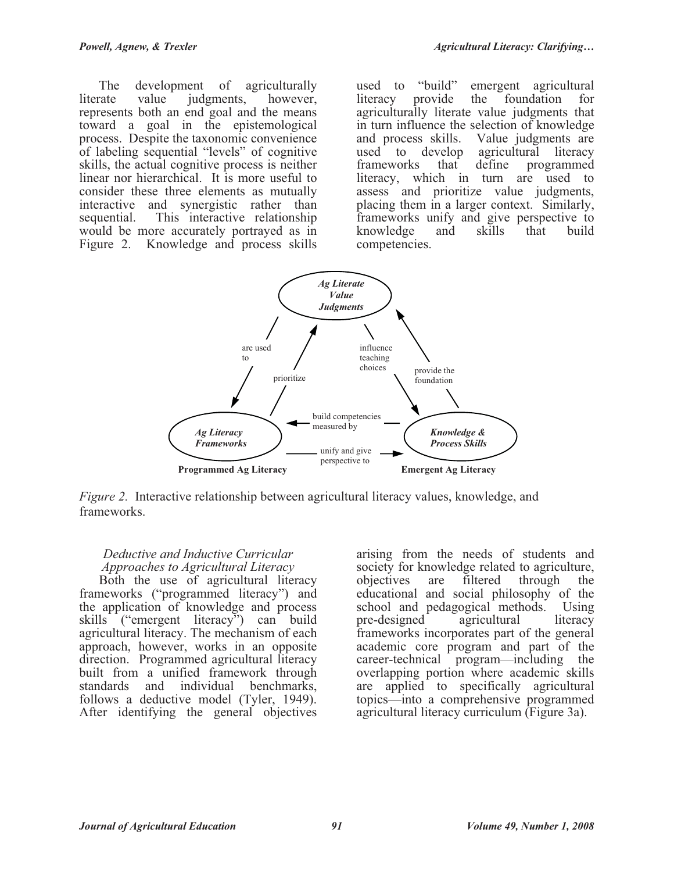The development of agriculturally literate value judgments, however, represents both an end goal and the means toward a goal in the epistemological process. Despite the taxonomic convenience of labeling sequential "levels" of cognitive skills, the actual cognitive process is neither linear nor hierarchical. It is more useful to consider these three elements as mutually interactive and synergistic rather than sequential. This interactive relationship would be more accurately portrayed as in Figure 2. Knowledge and process skills

used to "build" emergent agricultural<br>literacy provide the foundation for literacy provide the foundation for agriculturally literate value judgments that in turn influence the selection of knowledge and process skills. Value judgments are<br>used to develop agricultural literacy develop agricultural literacy<br>s that define programmed frameworks that define programmed literacy, which in turn are used to assess and prioritize value judgments, placing them in a larger context. Similarly, frameworks unify and give perspective to knowledge and skills that build competencies.



*Figure 2.* Interactive relationship between agricultural literacy values, knowledge, and frameworks.

# *Deductive and Inductive Curricular Approaches to Agricultural Literacy*

Both the use of agricultural literacy frameworks ("programmed literacy") and the application of knowledge and process skills ("emergent literacy") can build agricultural literacy. The mechanism of each approach, however, works in an opposite direction. Programmed agricultural literacy built from a unified framework through standards and individual benchmarks, follows a deductive model (Tyler, 1949). After identifying the general objectives

arising from the needs of students and society for knowledge related to agriculture,<br>objectives are filtered through the filtered through the educational and social philosophy of the school and pedagogical methods. Using<br>pre-designed agricultural literacy pre-designed agricultural literacy frameworks incorporates part of the general academic core program and part of the career-technical program—including the overlapping portion where academic skills are applied to specifically agricultural topics—into a comprehensive programmed agricultural literacy curriculum (Figure 3a).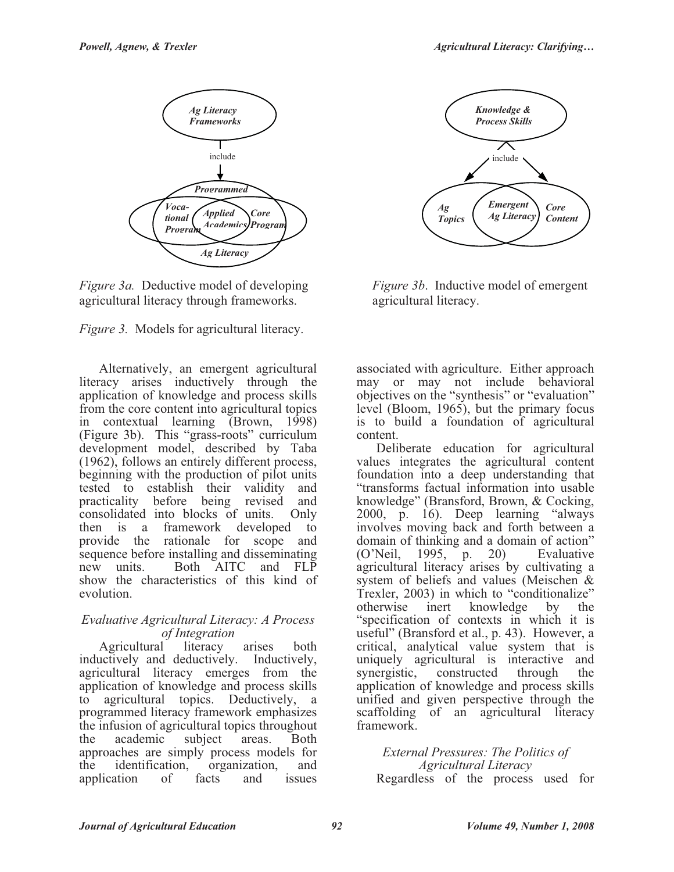





Alternatively, an emergent agricultural literacy arises inductively through the application of knowledge and process skills from the core content into agricultural topics in contextual learning (Brown, 1998) (Figure 3b). This "grass-roots" curriculum development model, described by Taba (1962), follows an entirely different process, beginning with the production of pilot units tested to establish their validity and practicality before being revised and consolidated into blocks of units. Only then is a framework developed to provide the rationale for scope and sequence before installing and disseminating new units. Both AITC and FLP show the characteristics of this kind of evolution.

### *Evaluative Agricultural Literacy: A Process of Integration*

Agricultural literacy arises both inductively and deductively. Inductively, agricultural literacy emerges from the application of knowledge and process skills to agricultural topics. Deductively, a programmed literacy framework emphasizes the infusion of agricultural topics throughout the academic subject areas. Both approaches are simply process models for the identification, organization, and application of facts and issues



*Figure 3b*. Inductive model of emergent agricultural literacy.

associated with agriculture. Either approach may or may not include behavioral objectives on the "synthesis" or "evaluation" level (Bloom, 1965), but the primary focus is to build a foundation of agricultural content.

Deliberate education for agricultural values integrates the agricultural content foundation into a deep understanding that "transforms factual information into usable knowledge" (Bransford, Brown, & Cocking, 2000, p. 16). Deep learning "always involves moving back and forth between a domain of thinking and a domain of action" (O'Neil, 1995, p. 20) Evaluative agricultural literacy arises by cultivating a system of beliefs and values (Meischen & Trexler, 2003) in which to "conditionalize" otherwise inert knowledge by the "specification of contexts in which it is useful" (Bransford et al., p. 43). However, a critical, analytical value system that is uniquely agricultural is interactive and<br>synergistic, constructed through the constructed through the application of knowledge and process skills unified and given perspective through the scaffolding of an agricultural literacy framework.

#### *External Pressures: The Politics of Agricultural Literacy* Regardless of the process used for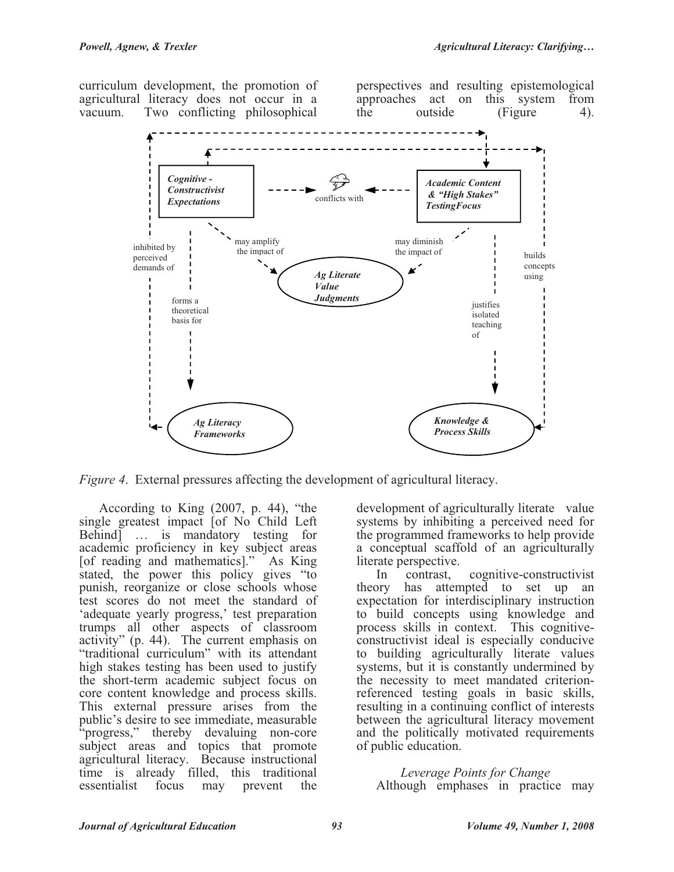curriculum development, the promotion of agricultural literacy does not occur in a vacuum. Two conflicting philosophical

perspectives and resulting epistemological approaches act on this system from the outside (Figure 4).



*Figure 4*. External pressures affecting the development of agricultural literacy.

According to King (2007, p. 44), "the single greatest impact [of No Child Left Behind] … is mandatory testing for academic proficiency in key subject areas [of reading and mathematics]." As King stated, the power this policy gives "to punish, reorganize or close schools whose test scores do not meet the standard of 'adequate yearly progress,' test preparation trumps all other aspects of classroom activity" (p. 44). The current emphasis on "traditional curriculum" with its attendant high stakes testing has been used to justify the short-term academic subject focus on core content knowledge and process skills. This external pressure arises from the public's desire to see immediate, measurable "progress," thereby devaluing non-core subject areas and topics that promote agricultural literacy. Because instructional time is already filled, this traditional essentialist focus may prevent the

development of agriculturally literate value systems by inhibiting a perceived need for the programmed frameworks to help provide a conceptual scaffold of an agriculturally

literate perspective.<br>In contrast, In contrast, cognitive-constructivist theory has attempted to set up an expectation for interdisciplinary instruction to build concepts using knowledge and process skills in context. This cognitiveconstructivist ideal is especially conducive to building agriculturally literate values systems, but it is constantly undermined by the necessity to meet mandated criterionreferenced testing goals in basic skills, resulting in a continuing conflict of interests between the agricultural literacy movement and the politically motivated requirements of public education.

# *Leverage Points for Change*

Although emphases in practice may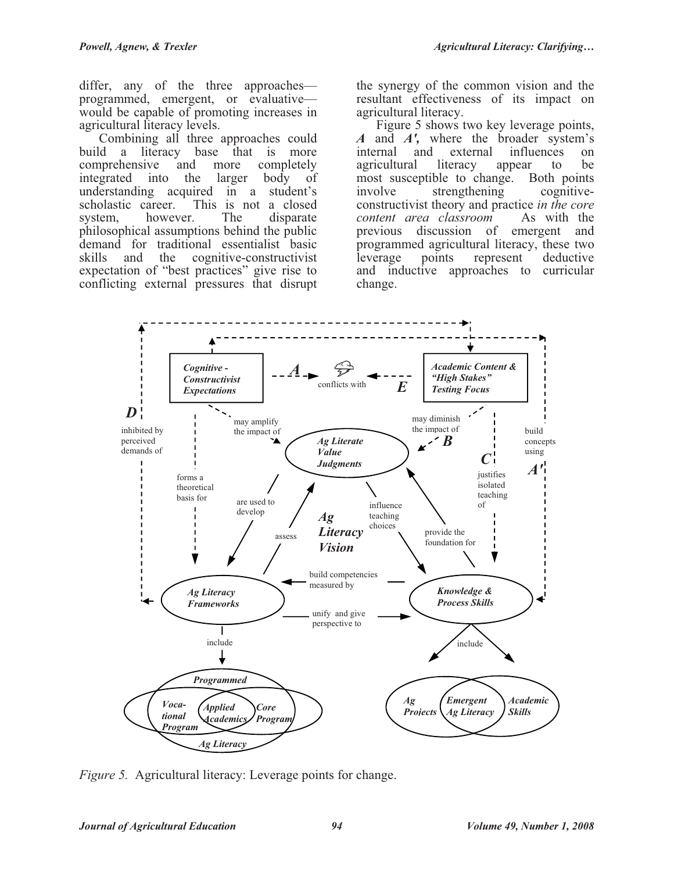differ, any of the three approaches programmed, emergent, or evaluative would be capable of promoting increases in agricultural literacy levels.

Combining all three approaches could build a literacy base that is more comprehensive and more completely integrated into the larger body of understanding acquired in a student's scholastic career. This is not a closed This is not a closed. system, however. The disparate philosophical assumptions behind the public demand for traditional essentialist basic<br>skills and the cognitive-constructivist skills and the cognitive-constructivist expectation of "best practices" give rise to conflicting external pressures that disrupt

the synergy of the common vision and the resultant effectiveness of its impact on agricultural literacy.

Figure 5 shows two key leverage points, *A* and *A'*, where the broader system's internal and external influences on external influences on agricultural literacy appear to be most susceptible to change. Both points<br>involve strengthening cognitiveinvolve strengthening constructivist theory and practice *in the core content area classroom* As with the previous discussion of emergent and programmed agricultural literacy, these two<br>leverage points represent deductive points represent deductive and inductive approaches to curricular change.



*Figure 5.* Agricultural literacy: Leverage points for change.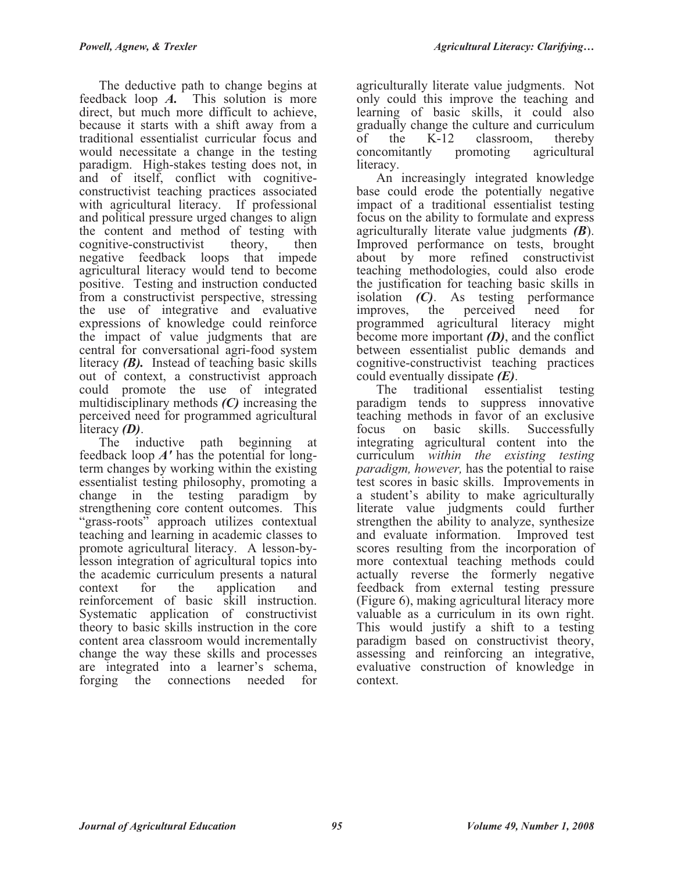The deductive path to change begins at feedback loop *A.* This solution is more direct, but much more difficult to achieve, because it starts with a shift away from a traditional essentialist curricular focus and would necessitate a change in the testing paradigm. High-stakes testing does not, in and of itself, conflict with cognitiveconstructivist teaching practices associated with agricultural literacy. If professional and political pressure urged changes to align the content and method of testing with cognitive-constructivist theory, then negative feedback loops that impede agricultural literacy would tend to become positive. Testing and instruction conducted from a constructivist perspective, stressing the use of integrative and evaluative expressions of knowledge could reinforce the impact of value judgments that are central for conversational agri-food system literacy *(B).* Instead of teaching basic skills out of context, a constructivist approach could promote the use of integrated multidisciplinary methods *(C)* increasing the perceived need for programmed agricultural literacy *(D)*.

The inductive path beginning at feedback loop *A'* has the potential for longterm changes by working within the existing essentialist testing philosophy, promoting a change in the testing paradigm by strengthening core content outcomes. This "grass-roots" approach utilizes contextual teaching and learning in academic classes to promote agricultural literacy. A lesson-bylesson integration of agricultural topics into the academic curriculum presents a natural context for the application and reinforcement of basic skill instruction. Systematic application of constructivist theory to basic skills instruction in the core content area classroom would incrementally change the way these skills and processes are integrated into a learner's schema, forging the connections needed for

agriculturally literate value judgments. Not only could this improve the teaching and learning of basic skills, it could also gradually change the culture and curriculum of the K-12 classroom, thereby<br>concomitantly promoting agricultural concomitantly promoting literacy.

An increasingly integrated knowledge base could erode the potentially negative impact of a traditional essentialist testing focus on the ability to formulate and express agriculturally literate value judgments *(B*). Improved performance on tests, brought about by more refined constructivist teaching methodologies, could also erode the justification for teaching basic skills in isolation *(C)*. As testing performance improves, the perceived need for programmed agricultural literacy might become more important *(D)*, and the conflict between essentialist public demands and cognitive-constructivist teaching practices could eventually dissipate *(E)*.

The traditional essentialist testing paradigm tends to suppress innovative teaching methods in favor of an exclusive focus on basic skills. Successfully integrating agricultural content into the curriculum *within the existing testing paradigm, however,* has the potential to raise test scores in basic skills. Improvements in a student's ability to make agriculturally literate value judgments could further strengthen the ability to analyze, synthesize and evaluate information. Improved test scores resulting from the incorporation of more contextual teaching methods could actually reverse the formerly negative feedback from external testing pressure (Figure 6), making agricultural literacy more valuable as a curriculum in its own right. This would justify a shift to a testing paradigm based on constructivist theory, assessing and reinforcing an integrative, evaluative construction of knowledge in context.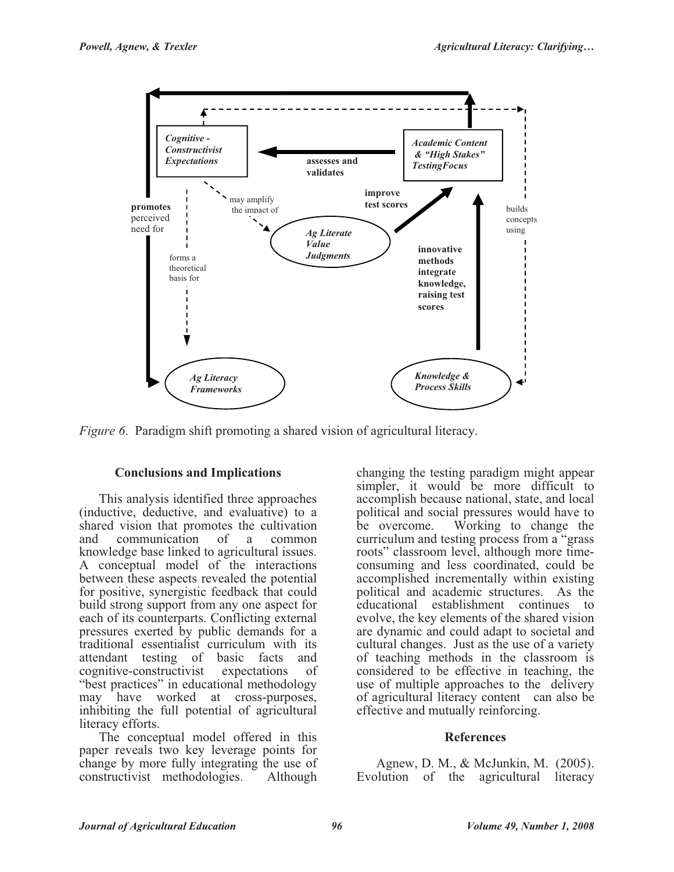

*Figure 6*. Paradigm shift promoting a shared vision of agricultural literacy.

## **Conclusions and Implications**

This analysis identified three approaches (inductive, deductive, and evaluative) to a shared vision that promotes the cultivation<br>and communication of a common and communication of a common knowledge base linked to agricultural issues. A conceptual model of the interactions between these aspects revealed the potential for positive, synergistic feedback that could build strong support from any one aspect for each of its counterparts. Conflicting external pressures exerted by public demands for a traditional essentialist curriculum with its attendant testing of basic facts and cognitive-constructivist expectations of "best practices" in educational methodology may have worked at cross-purposes, inhibiting the full potential of agricultural literacy efforts.

The conceptual model offered in this paper reveals two key leverage points for change by more fully integrating the use of constructivist methodologies. Although changing the testing paradigm might appear simpler, it would be more difficult to accomplish because national, state, and local political and social pressures would have to be overcome. Working to change the curriculum and testing process from a "grass roots" classroom level, although more timeconsuming and less coordinated, could be accomplished incrementally within existing political and academic structures. As the educational establishment continues to evolve, the key elements of the shared vision are dynamic and could adapt to societal and cultural changes. Just as the use of a variety of teaching methods in the classroom is considered to be effective in teaching, the use of multiple approaches to the delivery of agricultural literacy content can also be effective and mutually reinforcing.

#### **References**

Agnew, D. M., & McJunkin, M. (2005). Evolution of the agricultural literacy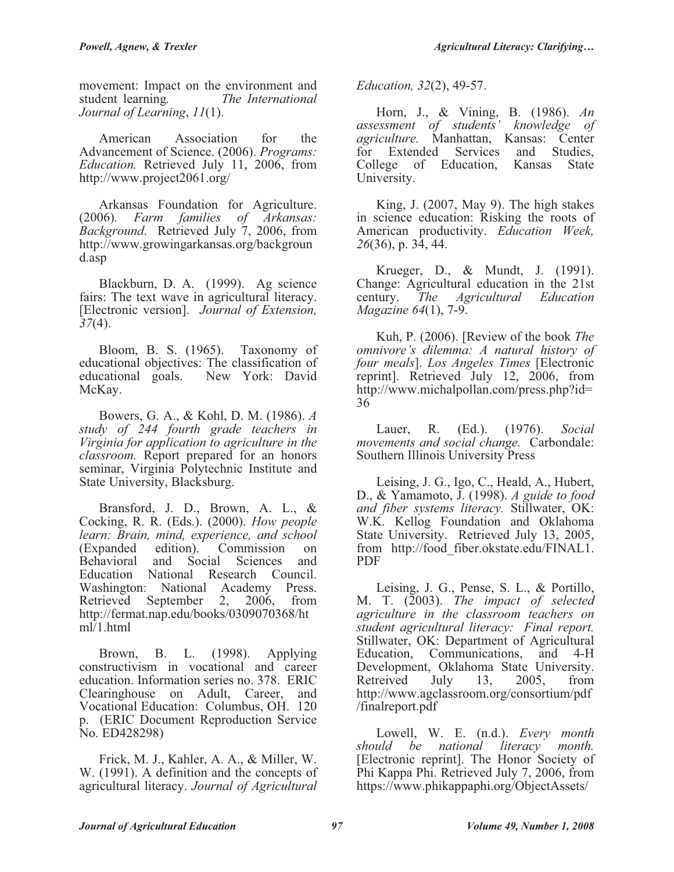movement: Impact on the environment and student learning*. The International Journal of Learning*, *11*(1).

American Association for the Advancement of Science. (2006). *Programs: Education.* Retrieved July 11, 2006, from http://www.project2061.org/

Arkansas Foundation for Agriculture. (2006)*. Farm families of Arkansas: Background*. Retrieved July 7, 2006, from http://www.growingarkansas.org/backgroun d.asp

Blackburn, D. A. (1999). Ag science fairs: The text wave in agricultural literacy. [Electronic version]. *Journal of Extension, 37*(4).

Bloom, B. S. (1965). Taxonomy of educational objectives: The classification of<br>educational goals. New York: David New York: David McKay.

Bowers, G. A., & Kohl, D. M. (1986). *A study of 244 fourth grade teachers in Virginia for application to agriculture in the classroom.* Report prepared for an honors seminar, Virginia Polytechnic Institute and State University, Blacksburg.

Bransford, J. D., Brown, A. L., & Cocking, R. R. (Eds.). (2000). *How people learn: Brain, mind, experience, and school*  (Expanded edition). Commission on Behavioral and Social Sciences and Education National Research Council. Washington: National Academy Press. Retrieved September 2, 2006, from http://fermat.nap.edu/books/0309070368/ht  $m\bar{l}$ 1.html

Brown, B. L. (1998). Applying constructivism in vocational and career education. Information series no. 378. ERIC Clearinghouse on Adult, Career, and Vocational Education: Columbus, OH. 120 p. (ERIC Document Reproduction Service No. ED428298)

Frick, M. J., Kahler, A. A., & Miller, W. W. (1991). A definition and the concepts of agricultural literacy. *Journal of Agricultural* 

*Education, 32*(2), 49-57.

Horn, J., & Vining, B. (1986). *An assessment of students' knowledge of agriculture.* Manhattan, Kansas: Center for Extended Services and Studies, College of Education, Kansas State University.

King, J. (2007, May 9). The high stakes in science education: Risking the roots of American productivity. *Education Week, 26*(36), p. 34, 44.

Krueger, D., & Mundt, J. (1991). Change: Agricultural education in the 21st century. *The Agricultural Education Magazine 64*(1), 7-9.

Kuh, P. (2006). [Review of the book *The omnivore's dilemma: A natural history of four meals*]. *Los Angeles Times* [Electronic reprint]. Retrieved July 12, 2006, from http://www.michalpollan.com/press.php?id= 36

Lauer, R. (Ed.). (1976). *Social movements and social change.* Carbondale: Southern Illinois University Press

Leising, J. G., Igo, C., Heald, A., Hubert, D., & Yamamoto, J. (1998). *A guide to food and fiber systems literacy.* Stillwater, OK: W.K. Kellog Foundation and Oklahoma State University. Retrieved July 13, 2005, from http://food\_fiber.okstate.edu/FINAL1. PDF

Leising, J. G., Pense, S. L., & Portillo, M. T. (2003). *The impact of selected agriculture in the classroom teachers on student agricultural literacy: Final report.* Stillwater, OK: Department of Agricultural Education, Communications, and 4-H Development, Oklahoma State University. Retreived July 13, 2005, from http://www.agclassroom.org/consortium/pdf /finalreport.pdf

Lowell, W. E. (n.d.). *Every month should be national literacy month.* [Electronic reprint]. The Honor Society of Phi Kappa Phi. Retrieved July 7, 2006, from https://www.phikappaphi.org/ObjectAssets/